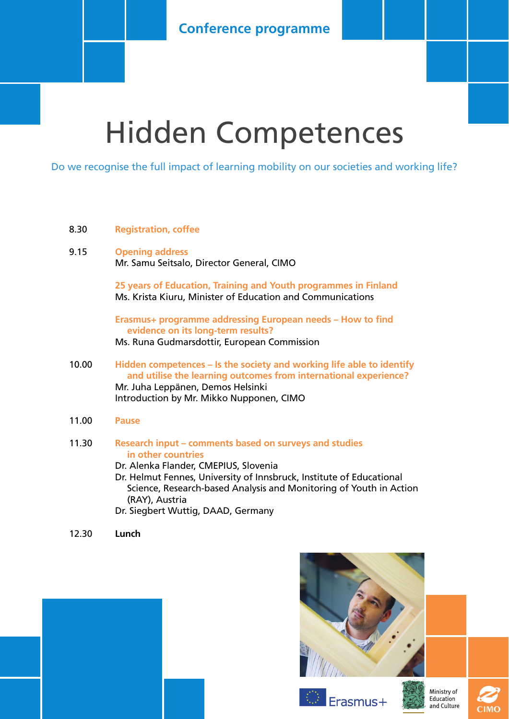### **Conference programme**

## Hidden Competences

Do we recognise the full impact of learning mobility on our societies and working life?

#### 8.30 **Registration, coffee**

#### 9.15 **Opening address** Mr. Samu Seitsalo, Director General, CIMO

**25 years of Education, Training and Youth programmes in Finland** Ms. Krista Kiuru, Minister of Education and Communications

**Erasmus+ programme addressing European needs – How to find evidence on its long-term results?**

Ms. Runa Gudmarsdottir, European Commission

- 10.00 **Hidden competences – Is the society and working life able to identify and utilise the learning outcomes from international experience?** Mr. Juha Leppänen, Demos Helsinki Introduction by Mr. Mikko Nupponen, CIMO
- 11.00 **Pause**

#### 11.30 **Research input – comments based on surveys and studies in other countries**

Dr. Alenka Flander, CMEPIUS, Slovenia

Dr. Helmut Fennes, University of Innsbruck, Institute of Educational Science, Research-based Analysis and Monitoring of Youth in Action (RAY), Austria

Dr. Siegbert Wuttig, DAAD, Germany

12.30 **Lunch**







Ministry of Education and Culture